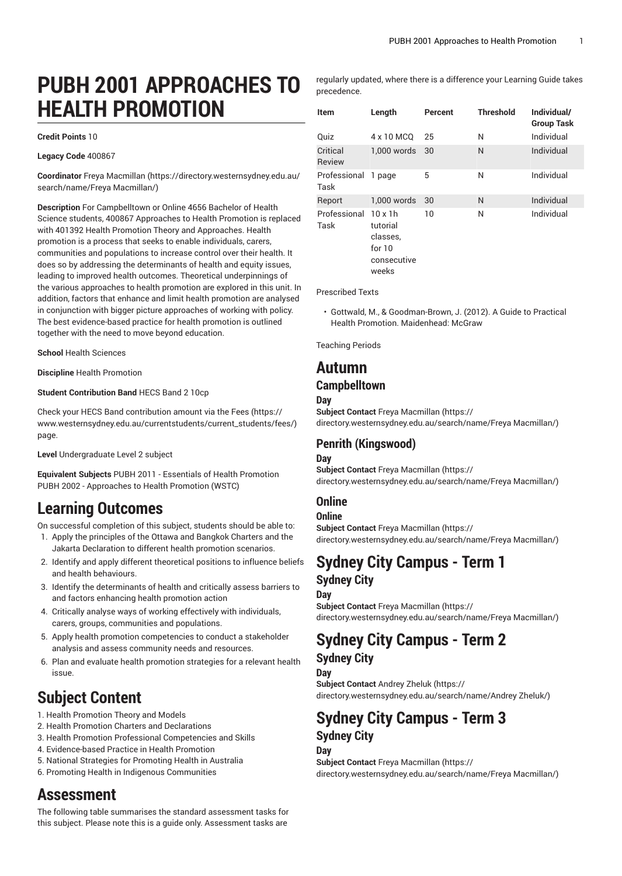# **PUBH 2001 APPROACHES TO HEALTH PROMOTION**

#### **Credit Points** 10

**Legacy Code** 400867

**Coordinator** Freya [Macmillan \(https://directory.westernsydney.edu.au/](https://directory.westernsydney.edu.au/search/name/Freya Macmillan/) [search/name/Freya](https://directory.westernsydney.edu.au/search/name/Freya Macmillan/) Macmillan/)

**Description** For Campbelltown or Online 4656 Bachelor of Health Science students, 400867 Approaches to Health Promotion is replaced with 401392 Health Promotion Theory and Approaches. Health promotion is a process that seeks to enable individuals, carers, communities and populations to increase control over their health. It does so by addressing the determinants of health and equity issues, leading to improved health outcomes. Theoretical underpinnings of the various approaches to health promotion are explored in this unit. In addition, factors that enhance and limit health promotion are analysed in conjunction with bigger picture approaches of working with policy. The best evidence-based practice for health promotion is outlined together with the need to move beyond education.

**School** Health Sciences

**Discipline** Health Promotion

#### **Student Contribution Band** HECS Band 2 10cp

Check your HECS Band contribution amount via the [Fees \(https://](https://www.westernsydney.edu.au/currentstudents/current_students/fees/) [www.westernsydney.edu.au/currentstudents/current\\_students/fees/\)](https://www.westernsydney.edu.au/currentstudents/current_students/fees/) page.

**Level** Undergraduate Level 2 subject

**Equivalent Subjects** PUBH 2011 - Essentials of Health Promotion [PUBH 2002](/search/?P=PUBH%202002) - Approaches to Health Promotion (WSTC)

## **Learning Outcomes**

On successful completion of this subject, students should be able to:

- 1. Apply the principles of the Ottawa and Bangkok Charters and the Jakarta Declaration to different health promotion scenarios.
- 2. Identify and apply different theoretical positions to influence beliefs and health behaviours.
- 3. Identify the determinants of health and critically assess barriers to and factors enhancing health promotion action
- 4. Critically analyse ways of working effectively with individuals, carers, groups, communities and populations.
- 5. Apply health promotion competencies to conduct a stakeholder analysis and assess community needs and resources.
- 6. Plan and evaluate health promotion strategies for a relevant health issue.

# **Subject Content**

- 1. Health Promotion Theory and Models
- 2. Health Promotion Charters and Declarations
- 3. Health Promotion Professional Competencies and Skills
- 4. Evidence-based Practice in Health Promotion
- 5. National Strategies for Promoting Health in Australia
- 6. Promoting Health in Indigenous Communities

## **Assessment**

The following table summarises the standard assessment tasks for this subject. Please note this is a guide only. Assessment tasks are

regularly updated, where there is a difference your Learning Guide takes precedence.

| Item                 | Length                                                                     | Percent | <b>Threshold</b> | Individual/<br><b>Group Task</b> |
|----------------------|----------------------------------------------------------------------------|---------|------------------|----------------------------------|
| Quiz                 | 4 x 10 MCQ                                                                 | 25      | N                | Individual                       |
| Critical<br>Review   | $1.000$ words                                                              | 30      | N                | Individual                       |
| Professional<br>Task | 1 page                                                                     | 5       | N                | Individual                       |
| Report               | 1.000 words                                                                | 30      | N                | Individual                       |
| Professional<br>Task | $10 \times 1h$<br>tutorial<br>classes.<br>for $10$<br>consecutive<br>weeks | 10      | N                | Individual                       |

Prescribed Texts

• Gottwald, M., & Goodman-Brown, J. (2012). A Guide to Practical Health Promotion. Maidenhead: McGraw

Teaching Periods

### **Autumn**

#### **Campbelltown**

#### **Day**

**Subject Contact** Freya [Macmillan](https://directory.westernsydney.edu.au/search/name/Freya Macmillan/) ([https://](https://directory.westernsydney.edu.au/search/name/Freya Macmillan/) [directory.westernsydney.edu.au/search/name/Freya](https://directory.westernsydney.edu.au/search/name/Freya Macmillan/) Macmillan/)

### **Penrith (Kingswood)**

#### **Day**

**Subject Contact** Freya [Macmillan](https://directory.westernsydney.edu.au/search/name/Freya Macmillan/) ([https://](https://directory.westernsydney.edu.au/search/name/Freya Macmillan/) [directory.westernsydney.edu.au/search/name/Freya](https://directory.westernsydney.edu.au/search/name/Freya Macmillan/) Macmillan/)

### **Online**

#### **Online**

**Subject Contact** Freya [Macmillan](https://directory.westernsydney.edu.au/search/name/Freya Macmillan/) ([https://](https://directory.westernsydney.edu.au/search/name/Freya Macmillan/) [directory.westernsydney.edu.au/search/name/Freya](https://directory.westernsydney.edu.au/search/name/Freya Macmillan/) Macmillan/)

## **Sydney City Campus - Term 1 Sydney City**

#### **Day**

**Subject Contact** Freya [Macmillan](https://directory.westernsydney.edu.au/search/name/Freya Macmillan/) ([https://](https://directory.westernsydney.edu.au/search/name/Freya Macmillan/) [directory.westernsydney.edu.au/search/name/Freya](https://directory.westernsydney.edu.au/search/name/Freya Macmillan/) Macmillan/)

### **Sydney City Campus - Term 2 Sydney City**

**Day Subject Contact** [Andrey](https://directory.westernsydney.edu.au/search/name/Andrey Zheluk/) Zheluk ([https://](https://directory.westernsydney.edu.au/search/name/Andrey Zheluk/) [directory.westernsydney.edu.au/search/name/Andrey](https://directory.westernsydney.edu.au/search/name/Andrey Zheluk/) Zheluk/)

# **Sydney City Campus - Term 3 Sydney City**

### **Day**

**Subject Contact** Freya [Macmillan](https://directory.westernsydney.edu.au/search/name/Freya Macmillan/) ([https://](https://directory.westernsydney.edu.au/search/name/Freya Macmillan/) [directory.westernsydney.edu.au/search/name/Freya](https://directory.westernsydney.edu.au/search/name/Freya Macmillan/) Macmillan/)